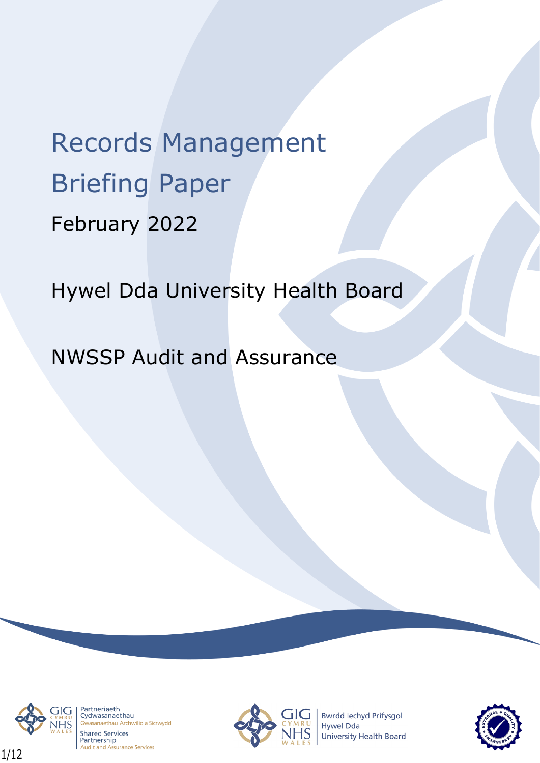# Records Management Briefing Paper February 2022

Hywel Dda University Health Board

NWSSP Audit and Assurance



Partneriaeth<br>Cydwasanaethau vasanaethau Archwilio a Sicrwydd **Shared Services** Partnership **Audit and Assurance Services** 



**Bwrdd lechyd Prifysgol Hywel Dda University Health Board** 

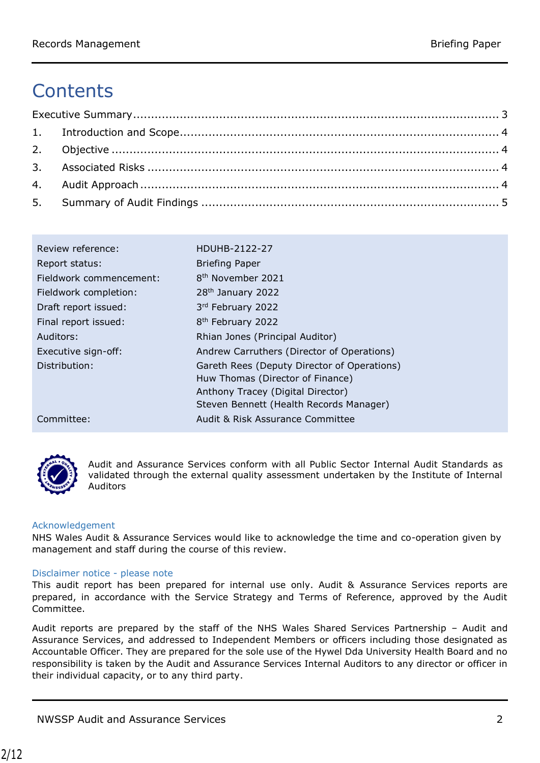# **Contents**

| Review reference:       | HDUHB-2122-27                               |
|-------------------------|---------------------------------------------|
| Report status:          | <b>Briefing Paper</b>                       |
| Fieldwork commencement: | 8 <sup>th</sup> November 2021               |
| Fieldwork completion:   | 28 <sup>th</sup> January 2022               |
| Draft report issued:    | 3rd February 2022                           |
| Final report issued:    | 8 <sup>th</sup> February 2022               |
| Auditors:               | Rhian Jones (Principal Auditor)             |
| Executive sign-off:     | Andrew Carruthers (Director of Operations)  |
| Distribution:           | Gareth Rees (Deputy Director of Operations) |
|                         | Huw Thomas (Director of Finance)            |
|                         | Anthony Tracey (Digital Director)           |
|                         | Steven Bennett (Health Records Manager)     |
| Committee:              | Audit & Risk Assurance Committee            |



Audit and Assurance Services conform with all Public Sector Internal Audit Standards as validated through the external quality assessment undertaken by the Institute of Internal Auditors

## Acknowledgement

NHS Wales Audit & Assurance Services would like to acknowledge the time and co-operation given by management and staff during the course of this review.

## Disclaimer notice - please note

This audit report has been prepared for internal use only. Audit & Assurance Services reports are prepared, in accordance with the Service Strategy and Terms of Reference, approved by the Audit Committee.

<span id="page-1-0"></span>Audit reports are prepared by the staff of the NHS Wales Shared Services Partnership – Audit and Assurance Services, and addressed to Independent Members or officers including those designated as Accountable Officer. They are prepared for the sole use of the Hywel Dda University Health Board and no responsibility is taken by the Audit and Assurance Services Internal Auditors to any director or officer in their individual capacity, or to any third party.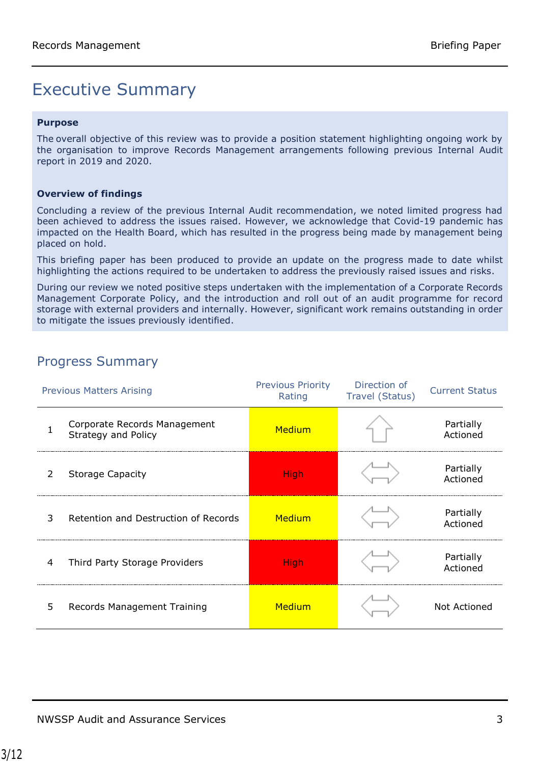# Executive Summary

### **Purpose**

The overall objective of this review was to provide a position statement highlighting ongoing work by the organisation to improve Records Management arrangements following previous Internal Audit report in 2019 and 2020.

### **Overview of findings**

Concluding a review of the previous Internal Audit recommendation, we noted limited progress had been achieved to address the issues raised. However, we acknowledge that Covid-19 pandemic has impacted on the Health Board, which has resulted in the progress being made by management being placed on hold.

This briefing paper has been produced to provide an update on the progress made to date whilst highlighting the actions required to be undertaken to address the previously raised issues and risks.

During our review we noted positive steps undertaken with the implementation of a Corporate Records Management Corporate Policy, and the introduction and roll out of an audit programme for record storage with external providers and internally. However, significant work remains outstanding in order to mitigate the issues previously identified.

## Progress Summary

|                | <b>Previous Matters Arising</b>                     | <b>Previous Priority</b><br>Rating | Direction of<br>Travel (Status) | <b>Current Status</b> |
|----------------|-----------------------------------------------------|------------------------------------|---------------------------------|-----------------------|
|                | Corporate Records Management<br>Strategy and Policy | Medium                             |                                 | Partially<br>Actioned |
| $\overline{2}$ | <b>Storage Capacity</b>                             | <b>High</b>                        |                                 | Partially<br>Actioned |
| 3              | Retention and Destruction of Records                | Medium                             |                                 | Partially<br>Actioned |
| 4              | Third Party Storage Providers                       | <b>High</b>                        |                                 | Partially<br>Actioned |
| 5              | Records Management Training                         | Medium                             |                                 | Not Actioned          |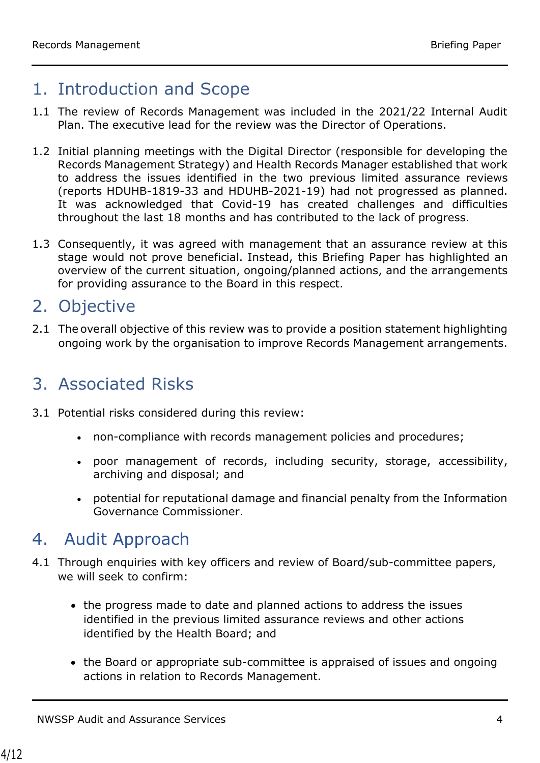## <span id="page-3-0"></span>1. Introduction and Scope

- 1.1 The review of Records Management was included in the 2021/22 Internal Audit Plan. The executive lead for the review was the Director of Operations.
- 1.2 Initial planning meetings with the Digital Director (responsible for developing the Records Management Strategy) and Health Records Manager established that work to address the issues identified in the two previous limited assurance reviews (reports HDUHB-1819-33 and HDUHB-2021-19) had not progressed as planned. It was acknowledged that Covid-19 has created challenges and difficulties throughout the last 18 months and has contributed to the lack of progress.
- 1.3 Consequently, it was agreed with management that an assurance review at this stage would not prove beneficial. Instead, this Briefing Paper has highlighted an overview of the current situation, ongoing/planned actions, and the arrangements for providing assurance to the Board in this respect.

## <span id="page-3-1"></span>2. Objective

2.1 The overall objective of this review was to provide a position statement highlighting ongoing work by the organisation to improve Records Management arrangements.

# <span id="page-3-2"></span>3. Associated Risks

- 3.1 Potential risks considered during this review:
	- non-compliance with records management policies and procedures;
	- poor management of records, including security, storage, accessibility, archiving and disposal; and
	- potential for reputational damage and financial penalty from the Information Governance Commissioner.

## <span id="page-3-3"></span>4. Audit Approach

- 4.1 Through enquiries with key officers and review of Board/sub-committee papers, we will seek to confirm:
	- the progress made to date and planned actions to address the issues identified in the previous limited assurance reviews and other actions identified by the Health Board; and
	- the Board or appropriate sub-committee is appraised of issues and ongoing actions in relation to Records Management.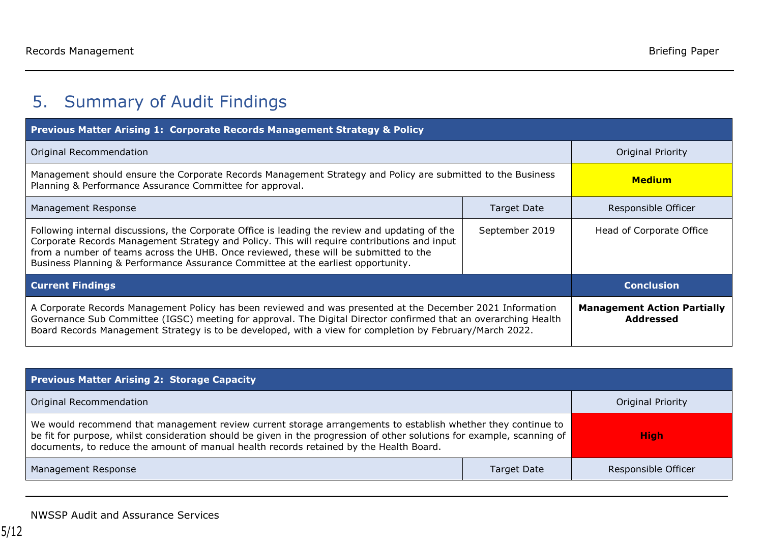# 5. Summary of Audit Findings

| <b>Previous Matter Arising 1: Corporate Records Management Strategy &amp; Policy</b>                                                                                                                                                                                                                                                                                      |                    |                                                        |  |
|---------------------------------------------------------------------------------------------------------------------------------------------------------------------------------------------------------------------------------------------------------------------------------------------------------------------------------------------------------------------------|--------------------|--------------------------------------------------------|--|
| Original Recommendation                                                                                                                                                                                                                                                                                                                                                   |                    | Original Priority                                      |  |
| Management should ensure the Corporate Records Management Strategy and Policy are submitted to the Business<br>Planning & Performance Assurance Committee for approval.                                                                                                                                                                                                   |                    | <b>Medium</b>                                          |  |
| Management Response                                                                                                                                                                                                                                                                                                                                                       | <b>Target Date</b> | Responsible Officer                                    |  |
| Following internal discussions, the Corporate Office is leading the review and updating of the<br>Corporate Records Management Strategy and Policy. This will require contributions and input<br>from a number of teams across the UHB. Once reviewed, these will be submitted to the<br>Business Planning & Performance Assurance Committee at the earliest opportunity. | September 2019     | Head of Corporate Office                               |  |
| <b>Current Findings</b>                                                                                                                                                                                                                                                                                                                                                   |                    | <b>Conclusion</b>                                      |  |
| A Corporate Records Management Policy has been reviewed and was presented at the December 2021 Information<br>Governance Sub Committee (IGSC) meeting for approval. The Digital Director confirmed that an overarching Health<br>Board Records Management Strategy is to be developed, with a view for completion by February/March 2022.                                 |                    | <b>Management Action Partially</b><br><b>Addressed</b> |  |

<span id="page-4-0"></span>

| <b>Previous Matter Arising 2: Storage Capacity</b>                                                                                                                                                                                                                                                                                |                    |                     |
|-----------------------------------------------------------------------------------------------------------------------------------------------------------------------------------------------------------------------------------------------------------------------------------------------------------------------------------|--------------------|---------------------|
| Original Recommendation                                                                                                                                                                                                                                                                                                           |                    | Original Priority   |
| We would recommend that management review current storage arrangements to establish whether they continue to<br>be fit for purpose, whilst consideration should be given in the progression of other solutions for example, scanning of<br>documents, to reduce the amount of manual health records retained by the Health Board. |                    | <b>High</b>         |
| Management Response                                                                                                                                                                                                                                                                                                               | <b>Target Date</b> | Responsible Officer |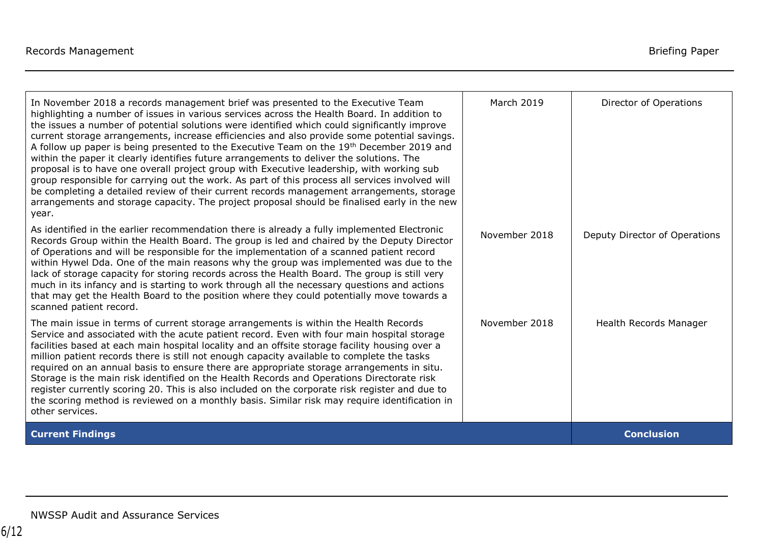| In November 2018 a records management brief was presented to the Executive Team<br>highlighting a number of issues in various services across the Health Board. In addition to<br>the issues a number of potential solutions were identified which could significantly improve<br>current storage arrangements, increase efficiencies and also provide some potential savings.<br>A follow up paper is being presented to the Executive Team on the 19th December 2019 and<br>within the paper it clearly identifies future arrangements to deliver the solutions. The<br>proposal is to have one overall project group with Executive leadership, with working sub<br>group responsible for carrying out the work. As part of this process all services involved will<br>be completing a detailed review of their current records management arrangements, storage<br>arrangements and storage capacity. The project proposal should be finalised early in the new<br>year. | March 2019    | Director of Operations        |
|------------------------------------------------------------------------------------------------------------------------------------------------------------------------------------------------------------------------------------------------------------------------------------------------------------------------------------------------------------------------------------------------------------------------------------------------------------------------------------------------------------------------------------------------------------------------------------------------------------------------------------------------------------------------------------------------------------------------------------------------------------------------------------------------------------------------------------------------------------------------------------------------------------------------------------------------------------------------------|---------------|-------------------------------|
| As identified in the earlier recommendation there is already a fully implemented Electronic<br>Records Group within the Health Board. The group is led and chaired by the Deputy Director<br>of Operations and will be responsible for the implementation of a scanned patient record<br>within Hywel Dda. One of the main reasons why the group was implemented was due to the<br>lack of storage capacity for storing records across the Health Board. The group is still very<br>much in its infancy and is starting to work through all the necessary questions and actions<br>that may get the Health Board to the position where they could potentially move towards a<br>scanned patient record.                                                                                                                                                                                                                                                                      | November 2018 | Deputy Director of Operations |
| The main issue in terms of current storage arrangements is within the Health Records<br>Service and associated with the acute patient record. Even with four main hospital storage<br>facilities based at each main hospital locality and an offsite storage facility housing over a<br>million patient records there is still not enough capacity available to complete the tasks<br>required on an annual basis to ensure there are appropriate storage arrangements in situ.<br>Storage is the main risk identified on the Health Records and Operations Directorate risk<br>register currently scoring 20. This is also included on the corporate risk register and due to<br>the scoring method is reviewed on a monthly basis. Similar risk may require identification in<br>other services.                                                                                                                                                                           | November 2018 | Health Records Manager        |
| <b>Current Findings</b>                                                                                                                                                                                                                                                                                                                                                                                                                                                                                                                                                                                                                                                                                                                                                                                                                                                                                                                                                      |               | <b>Conclusion</b>             |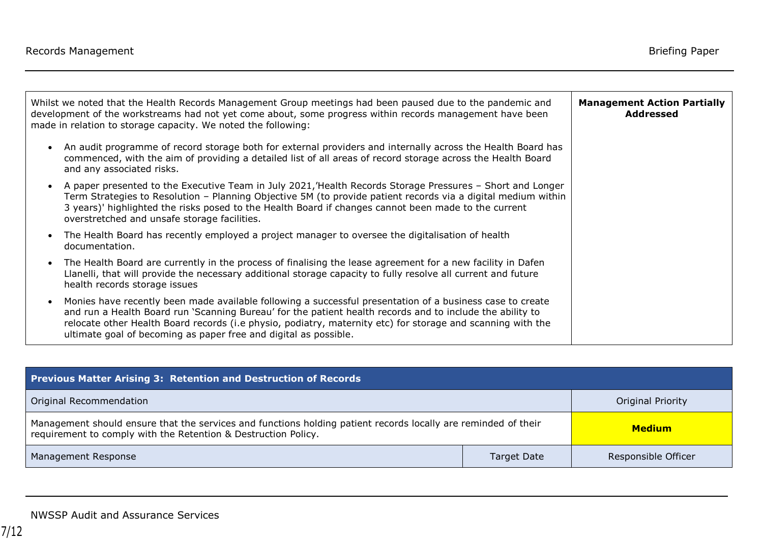|           | Whilst we noted that the Health Records Management Group meetings had been paused due to the pandemic and<br>development of the workstreams had not yet come about, some progress within records management have been<br>made in relation to storage capacity. We noted the following:                                                                                                                    | <b>Management Action Partially</b><br><b>Addressed</b> |
|-----------|-----------------------------------------------------------------------------------------------------------------------------------------------------------------------------------------------------------------------------------------------------------------------------------------------------------------------------------------------------------------------------------------------------------|--------------------------------------------------------|
| $\bullet$ | An audit programme of record storage both for external providers and internally across the Health Board has<br>commenced, with the aim of providing a detailed list of all areas of record storage across the Health Board<br>and any associated risks.                                                                                                                                                   |                                                        |
| $\bullet$ | A paper presented to the Executive Team in July 2021, Health Records Storage Pressures - Short and Longer<br>Term Strategies to Resolution - Planning Objective 5M (to provide patient records via a digital medium within<br>3 years)' highlighted the risks posed to the Health Board if changes cannot been made to the current<br>overstretched and unsafe storage facilities.                        |                                                        |
| $\bullet$ | The Health Board has recently employed a project manager to oversee the digitalisation of health<br>documentation.                                                                                                                                                                                                                                                                                        |                                                        |
| $\bullet$ | The Health Board are currently in the process of finalising the lease agreement for a new facility in Dafen<br>Llanelli, that will provide the necessary additional storage capacity to fully resolve all current and future<br>health records storage issues                                                                                                                                             |                                                        |
| $\bullet$ | Monies have recently been made available following a successful presentation of a business case to create<br>and run a Health Board run 'Scanning Bureau' for the patient health records and to include the ability to<br>relocate other Health Board records (i.e physio, podiatry, maternity etc) for storage and scanning with the<br>ultimate goal of becoming as paper free and digital as possible. |                                                        |

| <b>Previous Matter Arising 3: Retention and Destruction of Records</b>                                                                                                           |                    |                          |
|----------------------------------------------------------------------------------------------------------------------------------------------------------------------------------|--------------------|--------------------------|
| Original Recommendation                                                                                                                                                          |                    | <b>Original Priority</b> |
| Management should ensure that the services and functions holding patient records locally are reminded of their<br>requirement to comply with the Retention & Destruction Policy. |                    | <b>Medium</b>            |
| Management Response                                                                                                                                                              | <b>Target Date</b> | Responsible Officer      |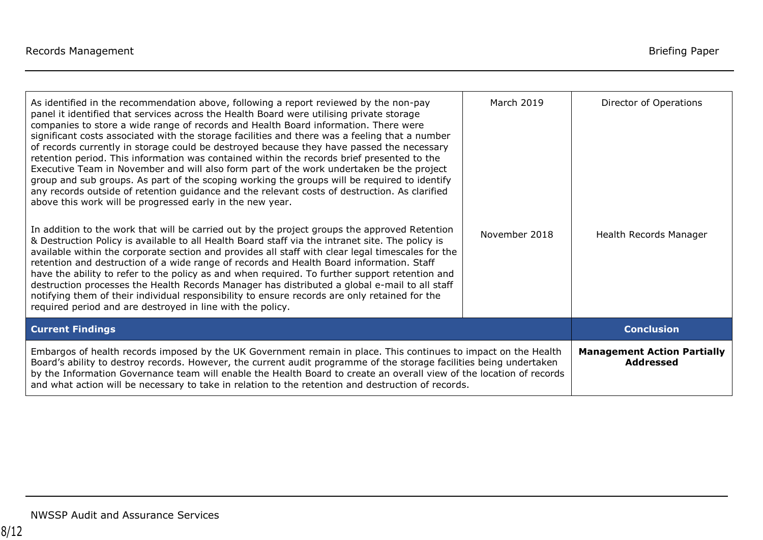| As identified in the recommendation above, following a report reviewed by the non-pay<br>panel it identified that services across the Health Board were utilising private storage<br>companies to store a wide range of records and Health Board information. There were<br>significant costs associated with the storage facilities and there was a feeling that a number<br>of records currently in storage could be destroyed because they have passed the necessary<br>retention period. This information was contained within the records brief presented to the<br>Executive Team in November and will also form part of the work undertaken be the project<br>group and sub groups. As part of the scoping working the groups will be required to identify<br>any records outside of retention guidance and the relevant costs of destruction. As clarified<br>above this work will be progressed early in the new year.<br>In addition to the work that will be carried out by the project groups the approved Retention<br>& Destruction Policy is available to all Health Board staff via the intranet site. The policy is<br>available within the corporate section and provides all staff with clear legal timescales for the<br>retention and destruction of a wide range of records and Health Board information. Staff<br>have the ability to refer to the policy as and when required. To further support retention and<br>destruction processes the Health Records Manager has distributed a global e-mail to all staff<br>notifying them of their individual responsibility to ensure records are only retained for the<br>required period and are destroyed in line with the policy. | <b>March 2019</b><br>November 2018 | Director of Operations<br>Health Records Manager       |
|---------------------------------------------------------------------------------------------------------------------------------------------------------------------------------------------------------------------------------------------------------------------------------------------------------------------------------------------------------------------------------------------------------------------------------------------------------------------------------------------------------------------------------------------------------------------------------------------------------------------------------------------------------------------------------------------------------------------------------------------------------------------------------------------------------------------------------------------------------------------------------------------------------------------------------------------------------------------------------------------------------------------------------------------------------------------------------------------------------------------------------------------------------------------------------------------------------------------------------------------------------------------------------------------------------------------------------------------------------------------------------------------------------------------------------------------------------------------------------------------------------------------------------------------------------------------------------------------------------------------------------------------------------------------------------------------------------|------------------------------------|--------------------------------------------------------|
| <b>Current Findings</b>                                                                                                                                                                                                                                                                                                                                                                                                                                                                                                                                                                                                                                                                                                                                                                                                                                                                                                                                                                                                                                                                                                                                                                                                                                                                                                                                                                                                                                                                                                                                                                                                                                                                                 |                                    | <b>Conclusion</b>                                      |
| Embargos of health records imposed by the UK Government remain in place. This continues to impact on the Health<br>Board's ability to destroy records. However, the current audit programme of the storage facilities being undertaken<br>by the Information Governance team will enable the Health Board to create an overall view of the location of records<br>and what action will be necessary to take in relation to the retention and destruction of records.                                                                                                                                                                                                                                                                                                                                                                                                                                                                                                                                                                                                                                                                                                                                                                                                                                                                                                                                                                                                                                                                                                                                                                                                                                    |                                    | <b>Management Action Partially</b><br><b>Addressed</b> |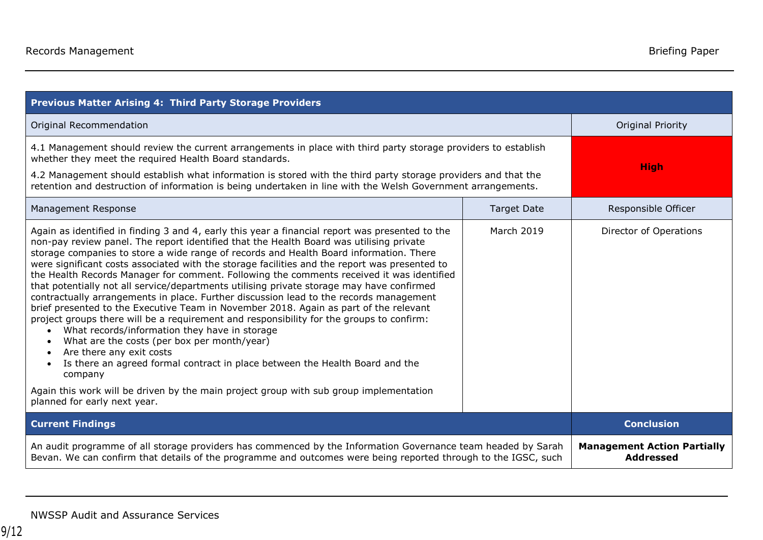| <b>Previous Matter Arising 4: Third Party Storage Providers</b>                                                                                                                                                                                                                                                                                                                                                                                                                                                                                                                                                                                                                                                                                                                                                                                                                                                                                                                                                                                                                                                                                                                                                 |                    |                                                        |
|-----------------------------------------------------------------------------------------------------------------------------------------------------------------------------------------------------------------------------------------------------------------------------------------------------------------------------------------------------------------------------------------------------------------------------------------------------------------------------------------------------------------------------------------------------------------------------------------------------------------------------------------------------------------------------------------------------------------------------------------------------------------------------------------------------------------------------------------------------------------------------------------------------------------------------------------------------------------------------------------------------------------------------------------------------------------------------------------------------------------------------------------------------------------------------------------------------------------|--------------------|--------------------------------------------------------|
| Original Recommendation                                                                                                                                                                                                                                                                                                                                                                                                                                                                                                                                                                                                                                                                                                                                                                                                                                                                                                                                                                                                                                                                                                                                                                                         |                    | <b>Original Priority</b>                               |
| 4.1 Management should review the current arrangements in place with third party storage providers to establish<br>whether they meet the required Health Board standards.<br>4.2 Management should establish what information is stored with the third party storage providers and that the<br>retention and destruction of information is being undertaken in line with the Welsh Government arrangements.                                                                                                                                                                                                                                                                                                                                                                                                                                                                                                                                                                                                                                                                                                                                                                                                      |                    | <b>High</b>                                            |
| Management Response                                                                                                                                                                                                                                                                                                                                                                                                                                                                                                                                                                                                                                                                                                                                                                                                                                                                                                                                                                                                                                                                                                                                                                                             | <b>Target Date</b> | Responsible Officer                                    |
| Again as identified in finding 3 and 4, early this year a financial report was presented to the<br>non-pay review panel. The report identified that the Health Board was utilising private<br>storage companies to store a wide range of records and Health Board information. There<br>were significant costs associated with the storage facilities and the report was presented to<br>the Health Records Manager for comment. Following the comments received it was identified<br>that potentially not all service/departments utilising private storage may have confirmed<br>contractually arrangements in place. Further discussion lead to the records management<br>brief presented to the Executive Team in November 2018. Again as part of the relevant<br>project groups there will be a requirement and responsibility for the groups to confirm:<br>What records/information they have in storage<br>What are the costs (per box per month/year)<br>Are there any exit costs<br>Is there an agreed formal contract in place between the Health Board and the<br>company<br>Again this work will be driven by the main project group with sub group implementation<br>planned for early next year. | <b>March 2019</b>  | Director of Operations                                 |
| <b>Current Findings</b>                                                                                                                                                                                                                                                                                                                                                                                                                                                                                                                                                                                                                                                                                                                                                                                                                                                                                                                                                                                                                                                                                                                                                                                         |                    | <b>Conclusion</b>                                      |
| An audit programme of all storage providers has commenced by the Information Governance team headed by Sarah<br>Bevan. We can confirm that details of the programme and outcomes were being reported through to the IGSC, such                                                                                                                                                                                                                                                                                                                                                                                                                                                                                                                                                                                                                                                                                                                                                                                                                                                                                                                                                                                  |                    | <b>Management Action Partially</b><br><b>Addressed</b> |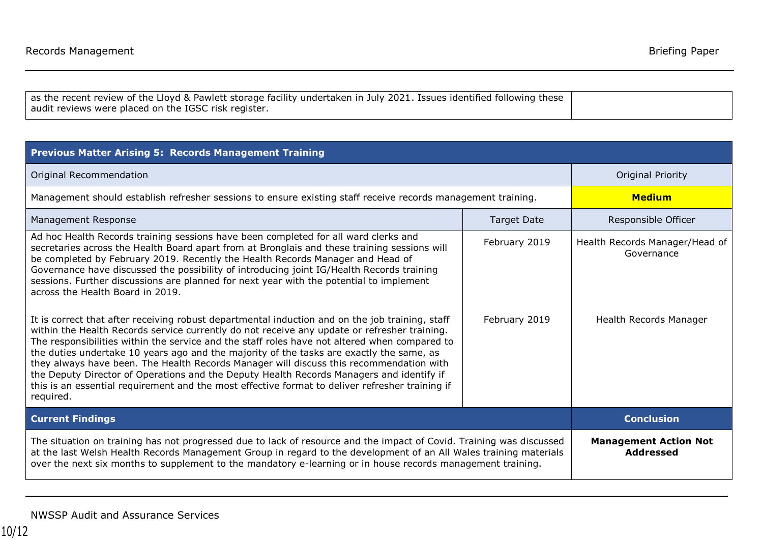| as the recent review of the Lloyd & Pawlett storage facility undertaken in July 2021. Issues identified following these |  |
|-------------------------------------------------------------------------------------------------------------------------|--|
| audit reviews were placed on the IGSC risk register.                                                                    |  |
|                                                                                                                         |  |

| <b>Previous Matter Arising 5: Records Management Training</b>                                                                                                                                                                                                                                                                                                                                                                                                                                                                                                                                                                                                                                                                                                                                                                                                                                                                                                                                                                                                                                                                                                                                            |                                |                                                                        |
|----------------------------------------------------------------------------------------------------------------------------------------------------------------------------------------------------------------------------------------------------------------------------------------------------------------------------------------------------------------------------------------------------------------------------------------------------------------------------------------------------------------------------------------------------------------------------------------------------------------------------------------------------------------------------------------------------------------------------------------------------------------------------------------------------------------------------------------------------------------------------------------------------------------------------------------------------------------------------------------------------------------------------------------------------------------------------------------------------------------------------------------------------------------------------------------------------------|--------------------------------|------------------------------------------------------------------------|
| Original Recommendation                                                                                                                                                                                                                                                                                                                                                                                                                                                                                                                                                                                                                                                                                                                                                                                                                                                                                                                                                                                                                                                                                                                                                                                  |                                | <b>Original Priority</b>                                               |
| Management should establish refresher sessions to ensure existing staff receive records management training.                                                                                                                                                                                                                                                                                                                                                                                                                                                                                                                                                                                                                                                                                                                                                                                                                                                                                                                                                                                                                                                                                             |                                | <b>Medium</b>                                                          |
| Management Response                                                                                                                                                                                                                                                                                                                                                                                                                                                                                                                                                                                                                                                                                                                                                                                                                                                                                                                                                                                                                                                                                                                                                                                      | <b>Target Date</b>             | Responsible Officer                                                    |
| Ad hoc Health Records training sessions have been completed for all ward clerks and<br>secretaries across the Health Board apart from at Bronglais and these training sessions will<br>be completed by February 2019. Recently the Health Records Manager and Head of<br>Governance have discussed the possibility of introducing joint IG/Health Records training<br>sessions. Further discussions are planned for next year with the potential to implement<br>across the Health Board in 2019.<br>It is correct that after receiving robust departmental induction and on the job training, staff<br>within the Health Records service currently do not receive any update or refresher training.<br>The responsibilities within the service and the staff roles have not altered when compared to<br>the duties undertake 10 years ago and the majority of the tasks are exactly the same, as<br>they always have been. The Health Records Manager will discuss this recommendation with<br>the Deputy Director of Operations and the Deputy Health Records Managers and identify if<br>this is an essential requirement and the most effective format to deliver refresher training if<br>required. | February 2019<br>February 2019 | Health Records Manager/Head of<br>Governance<br>Health Records Manager |
| <b>Current Findings</b>                                                                                                                                                                                                                                                                                                                                                                                                                                                                                                                                                                                                                                                                                                                                                                                                                                                                                                                                                                                                                                                                                                                                                                                  |                                | <b>Conclusion</b>                                                      |
| The situation on training has not progressed due to lack of resource and the impact of Covid. Training was discussed<br>at the last Welsh Health Records Management Group in regard to the development of an All Wales training materials<br>over the next six months to supplement to the mandatory e-learning or in house records management training.                                                                                                                                                                                                                                                                                                                                                                                                                                                                                                                                                                                                                                                                                                                                                                                                                                                 |                                | <b>Management Action Not</b><br><b>Addressed</b>                       |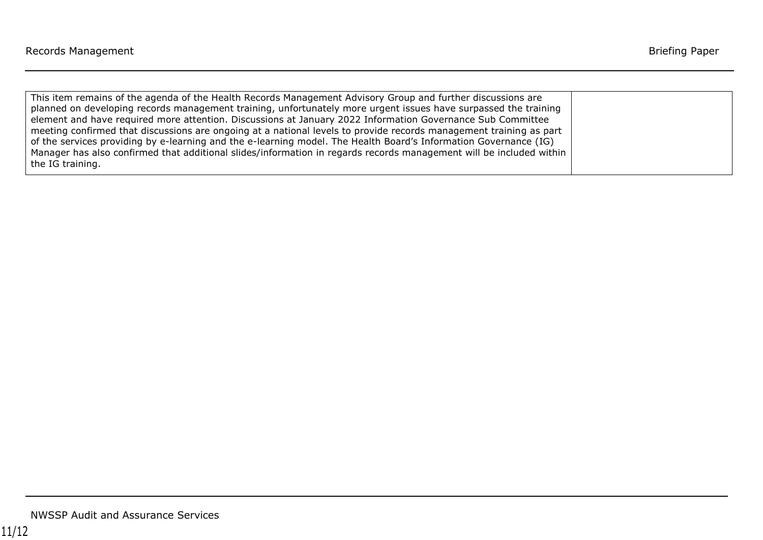| This item remains of the agenda of the Health Records Management Advisory Group and further discussions are         |  |
|---------------------------------------------------------------------------------------------------------------------|--|
| planned on developing records management training, unfortunately more urgent issues have surpassed the training     |  |
| element and have required more attention. Discussions at January 2022 Information Governance Sub Committee          |  |
| meeting confirmed that discussions are ongoing at a national levels to provide records management training as part  |  |
| of the services providing by e-learning and the e-learning model. The Health Board's Information Governance (IG)    |  |
| Manager has also confirmed that additional slides/information in regards records management will be included within |  |
| the IG training.                                                                                                    |  |
|                                                                                                                     |  |